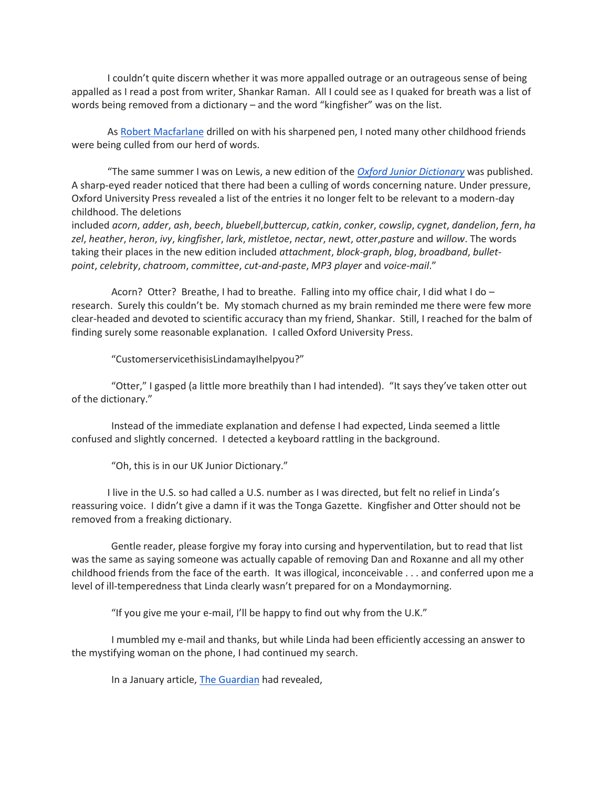I couldn't quite discern whether it was more appalled outrage or an outrageous sense of being appalled as I read a post from writer, Shankar Raman. All I could see as I quaked for breath was a list of words being removed from a dictionary – and the word "kingfisher" was on the list.

As [Robert Macfarlane](http://www.theguardian.com/books/2015/feb/27/robert-macfarlane-word-hoard-rewilding-landscape) drilled on with his sharpened pen, I noted many other childhood friends were being culled from our herd of words.

"The same summer I was on Lewis, a new edition of the *[Oxford Junior Dictionary](http://www.theguardian.com/books/2015/jan/13/oxford-junior-dictionary-replacement-natural-words)* was published. A sharp-eyed reader noticed that there had been a culling of words concerning nature. Under pressure, Oxford University Press revealed a list of the entries it no longer felt to be relevant to a modern-day childhood. The deletions

included *acorn*, *adder*, *ash*, *beech*, *bluebell*,*buttercup*, *catkin*, *conker*, *cowslip*, *cygnet*, *dandelion*, *fern*, *ha zel*, *heather*, *heron*, *ivy*, *kingfisher*, *lark*, *mistletoe*, *nectar*, *newt*, *otter*,*pasture* and *willow*. The words taking their places in the new edition included *attachment*, *block-graph*, *blog*, *broadband*, *bulletpoint*, *celebrity*, *chatroom*, *committee*, *cut-and-paste*, *MP3 player* and *voice-mail*."

 Acorn? Otter? Breathe, I had to breathe. Falling into my office chair, I did what I do – research. Surely this couldn't be. My stomach churned as my brain reminded me there were few more clear-headed and devoted to scientific accuracy than my friend, Shankar. Still, I reached for the balm of finding surely some reasonable explanation. I called Oxford University Press.

"CustomerservicethisisLindamayIhelpyou?"

 "Otter," I gasped (a little more breathily than I had intended). "It says they've taken otter out of the dictionary."

 Instead of the immediate explanation and defense I had expected, Linda seemed a little confused and slightly concerned. I detected a keyboard rattling in the background.

"Oh, this is in our UK Junior Dictionary."

I live in the U.S. so had called a U.S. number as I was directed, but felt no relief in Linda's reassuring voice. I didn't give a damn if it was the Tonga Gazette. Kingfisher and Otter should not be removed from a freaking dictionary.

 Gentle reader, please forgive my foray into cursing and hyperventilation, but to read that list was the same as saying someone was actually capable of removing Dan and Roxanne and all my other childhood friends from the face of the earth. It was illogical, inconceivable . . . and conferred upon me a level of ill-temperedness that Linda clearly wasn't prepared for on a Mondaymorning.

"If you give me your e-mail, I'll be happy to find out why from the U.K."

 I mumbled my e-mail and thanks, but while Linda had been efficiently accessing an answer to the mystifying woman on the phone, I had continued my search.

In a January article, [The Guardian](http://www.theguardian.com/books/2015/jan/13/oxford-junior-dictionary-replacement-natural-words) had revealed,